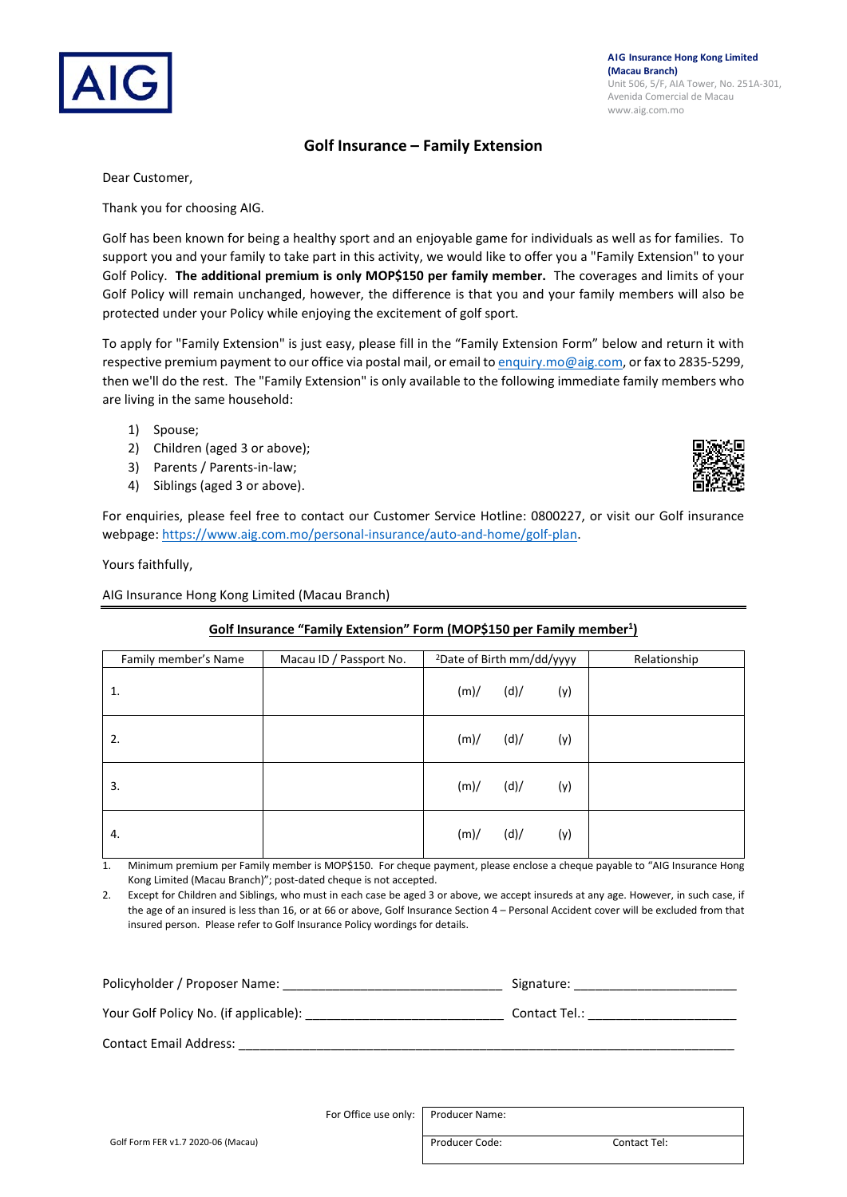## **Golf Insurance – Family Extension**

Dear Customer,

Thank you for choosing AIG.

Golf has been known for being a healthy sport and an enjoyable game for individuals as well as for families. To support you and your family to take part in this activity, we would like to offer you a "Family Extension" to your Golf Policy. **The additional premium is only MOP\$150 per family member.** The coverages and limits of your Golf Policy will remain unchanged, however, the difference is that you and your family members will also be protected under your Policy while enjoying the excitement of golf sport.

To apply for "Family Extension" is just easy, please fill in the "Family Extension Form" below and return it with respective premium payment to our office via postal mail, or email to [enquiry.mo@aig.com,](mailto:enquiry.mo@aig.com) or fax to 2835-5299, then we'll do the rest. The "Family Extension" is only available to the following immediate family members who are living in the same household:

- 1) Spouse;
- 2) Children (aged 3 or above);
- 3) Parents / Parents-in-law;
- 4) Siblings (aged 3 or above).

For enquiries, please feel free to contact our Customer Service Hotline: 0800227, or visit our Golf insurance webpage: [https://www.aig.com.mo/personal-insurance/auto-and-home/golf-plan.](https://www.aig.com.mo/personal-insurance/auto-and-home/golf-plan)

Yours faithfully,

AIG Insurance Hong Kong Limited (Macau Branch)

## **Golf Insurance "Family Extension" Form (MOP\$150 per Family member1 )**

| Family member's Name | Macau ID / Passport No. | <sup>2</sup> Date of Birth mm/dd/yyyy |      |     | Relationship |
|----------------------|-------------------------|---------------------------------------|------|-----|--------------|
| 1.                   |                         | (m)/                                  | (d)/ | (y) |              |
| 2.                   |                         | (m)/                                  | (d)/ | (y) |              |
| 3.                   |                         | (m)/                                  | (d)/ | (y) |              |
| 4.                   |                         | (m)/                                  | (d)/ | (y) |              |

1. Minimum premium per Family member is MOP\$150. For cheque payment, please enclose a cheque payable to "AIG Insurance Hong Kong Limited (Macau Branch)"; post-dated cheque is not accepted.

2. Except for Children and Siblings, who must in each case be aged 3 or above, we accept insureds at any age. However, in such case, if the age of an insured is less than 16, or at 66 or above, Golf Insurance Section 4 – Personal Accident cover will be excluded from that insured person. Please refer to Golf Insurance Policy wordings for details.

| Policyholder / Proposer Name:         | Signature:    |
|---------------------------------------|---------------|
| Your Golf Policy No. (if applicable): | Contact Tel.: |
| <b>Contact Email Address:</b>         |               |

For Office use only: Producer Name: